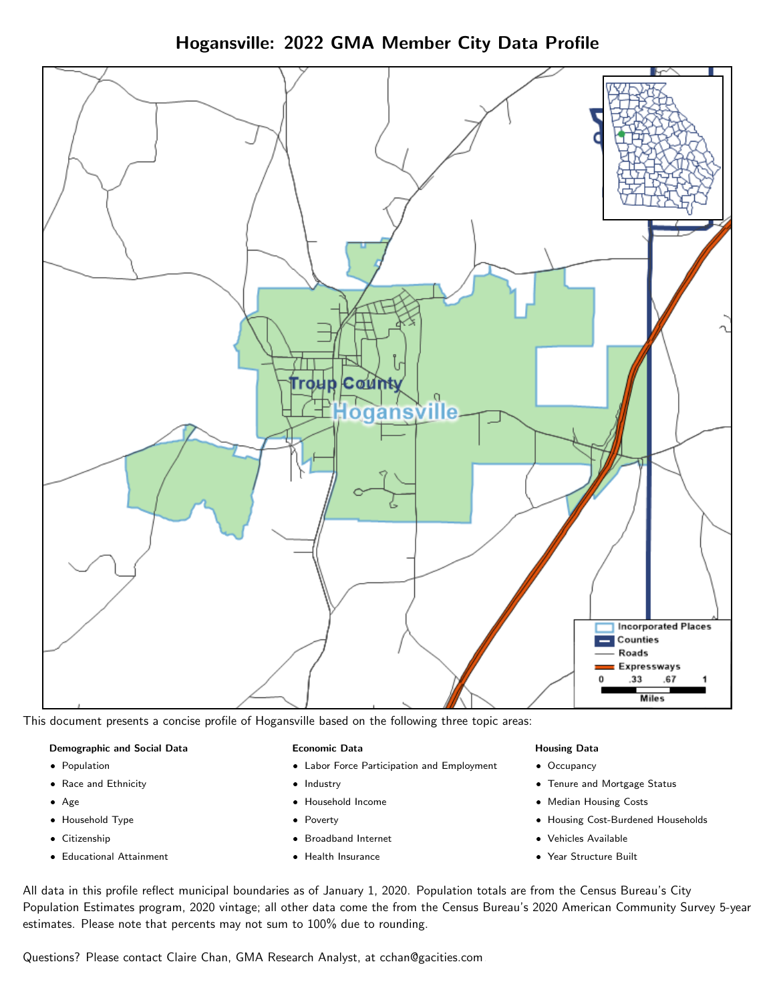Hogansville: 2022 GMA Member City Data Profile



This document presents a concise profile of Hogansville based on the following three topic areas:

#### Demographic and Social Data

- **•** Population
- Race and Ethnicity
- Age
- Household Type
- **Citizenship**
- Educational Attainment

#### Economic Data

- Labor Force Participation and Employment
- Industry
- Household Income
- Poverty
- Broadband Internet
- Health Insurance

#### Housing Data

- Occupancy
- Tenure and Mortgage Status
- Median Housing Costs
- Housing Cost-Burdened Households
- Vehicles Available
- $\bullet$ Year Structure Built

All data in this profile reflect municipal boundaries as of January 1, 2020. Population totals are from the Census Bureau's City Population Estimates program, 2020 vintage; all other data come the from the Census Bureau's 2020 American Community Survey 5-year estimates. Please note that percents may not sum to 100% due to rounding.

Questions? Please contact Claire Chan, GMA Research Analyst, at [cchan@gacities.com.](mailto:cchan@gacities.com)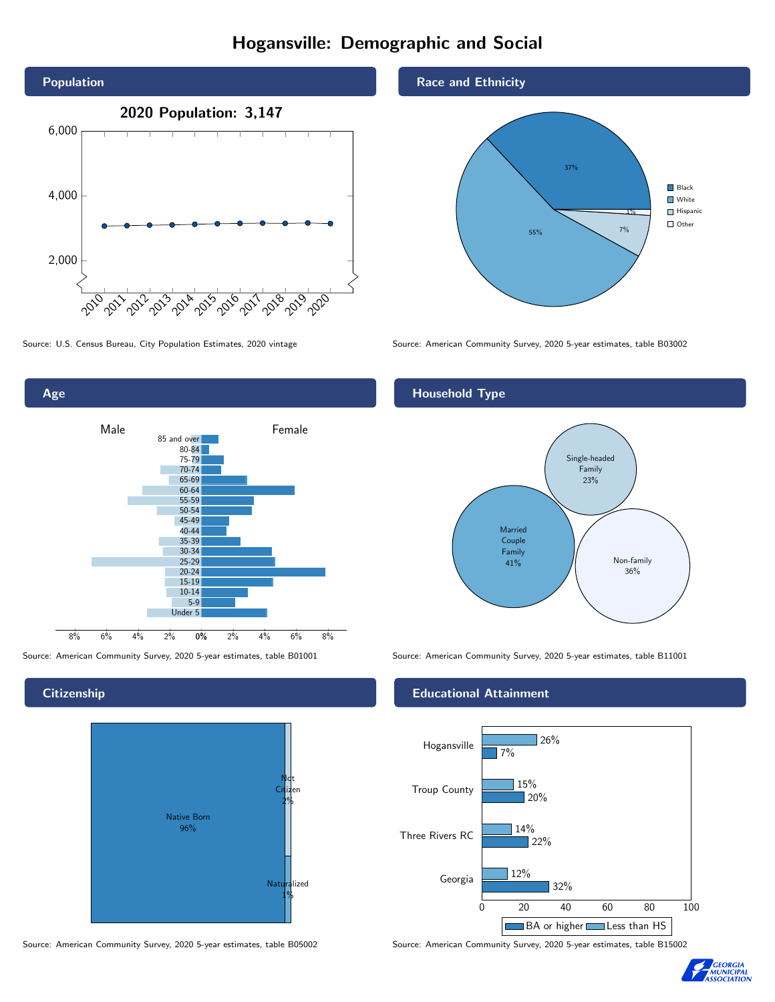# Hogansville: Demographic and Social



0% 2% 4% 6% 8% Male **Female** 8% 6% 4% 2% 85 and over 80-84 75-79 70-74 65-69 60-64 55-59 50-54 45-49 40-44 35-39 30-34 25-29 20-24 15-19 10-14 5-9 Under 5

### **Citizenship**

Age



Source: American Community Survey, 2020 5-year estimates, table B05002 Source: American Community Survey, 2020 5-year estimates, table B15002

#### Race and Ethnicity



Source: U.S. Census Bureau, City Population Estimates, 2020 vintage Source: American Community Survey, 2020 5-year estimates, table B03002

#### Household Type



Source: American Community Survey, 2020 5-year estimates, table B01001 Source: American Community Survey, 2020 5-year estimates, table B11001

#### Educational Attainment



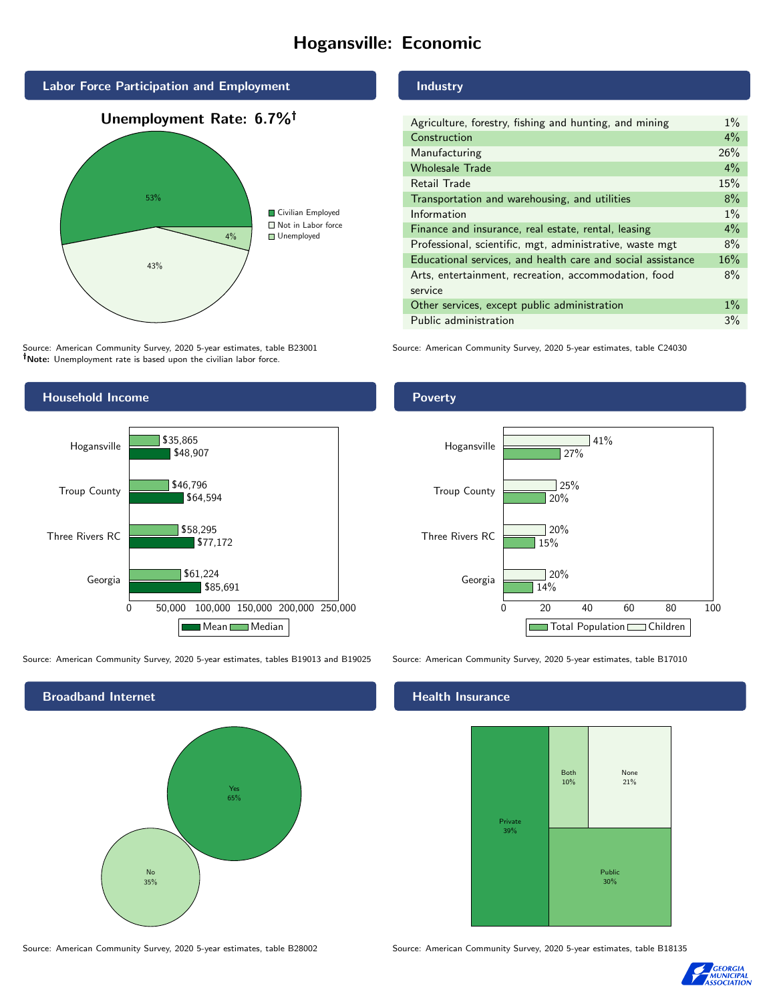# Hogansville: Economic



#### Source: American Community Survey, 2020 5-year estimates, table B23001 Note: Unemployment rate is based upon the civilian labor force.

#### Industry

| Agriculture, forestry, fishing and hunting, and mining      | $1\%$ |
|-------------------------------------------------------------|-------|
| Construction                                                | $4\%$ |
| Manufacturing                                               | 26%   |
| <b>Wholesale Trade</b>                                      | $4\%$ |
| Retail Trade                                                | 15%   |
| Transportation and warehousing, and utilities               | 8%    |
| Information                                                 | $1\%$ |
| Finance and insurance, real estate, rental, leasing         | $4\%$ |
| Professional, scientific, mgt, administrative, waste mgt    | 8%    |
| Educational services, and health care and social assistance | 16%   |
| Arts, entertainment, recreation, accommodation, food        | 8%    |
| service                                                     |       |
| Other services, except public administration                | $1\%$ |
| Public administration                                       | 3%    |
|                                                             |       |

Source: American Community Survey, 2020 5-year estimates, table C24030

Household Income 0 50,000 100,000 150,000 200,000 250,000 Georgia Three Rivers RC Troup County Hogansville \$85,691 \$77,172 \$64,594 \$48,907 \$61,224 \$58,295 \$46,796 \$35,865 Mean Median Poverty Georgia Three Rivers RC Troup County Hogansville 14% 15% 20% 27%  $120%$ 20%  $25%$  $141%$ 

Source: American Community Survey, 2020 5-year estimates, tables B19013 and B19025 Source: American Community Survey, 2020 5-year estimates, table B17010

Broadband Internet No 35% Yes 65%

#### Health Insurance



Source: American Community Survey, 2020 5-year estimates, table B28002 Source: American Community Survey, 2020 5-year estimates, table B18135